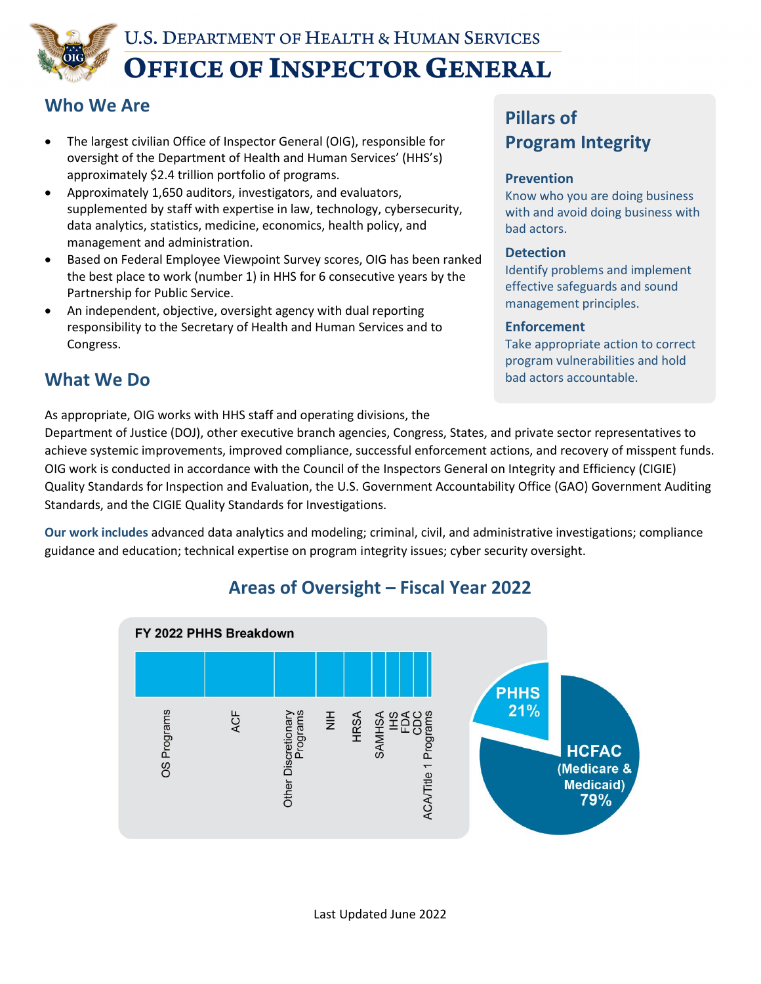

### **Who We Are**

- The largest civilian Office of Inspector General (OIG), responsible for oversight of the Department of Health and Human Services' (HHS's) approximately \$2.4 trillion portfolio of programs.
- Approximately 1,650 auditors, investigators, and evaluators, supplemented by staff with expertise in law, technology, cybersecurity, data analytics, statistics, medicine, economics, health policy, and management and administration.
- Based on Federal Employee Viewpoint Survey scores, OIG has been ranked the best place to work (number 1) in HHS for 6 consecutive years by the Partnership for Public Service.
- An independent, objective, oversight agency with dual reporting responsibility to the Secretary of Health and Human Services and to Congress.

### **What We Do**

As appropriate, OIG works with HHS staff and operating divisions, the

# **Pillars of Program Integrity**

#### **Prevention**

Know who you are doing business with and avoid doing business with bad actors.

#### **Detection**

Identify problems and implement effective safeguards and sound management principles.

#### **Enforcement**

Take appropriate action to correct program vulnerabilities and hold bad actors accountable.

Department of Justice (DOJ), other executive branch agencies, Congress, States, and private sector representatives to achieve systemic improvements, improved compliance, successful enforcement actions, and recovery of misspent funds. OIG work is conducted in accordance with the Council of the Inspectors General on Integrity and Efficiency (CIGIE) Quality Standards for Inspection and Evaluation, the U.S. Government Accountability Office (GAO) Government Auditing Standards, and the CIGIE Quality Standards for Investigations.

**Our work includes** advanced data analytics and modeling; criminal, civil, and administrative investigations; compliance guidance and education; technical expertise on program integrity issues; cyber security oversight.



### **Areas of Oversight – Fiscal Year 2022**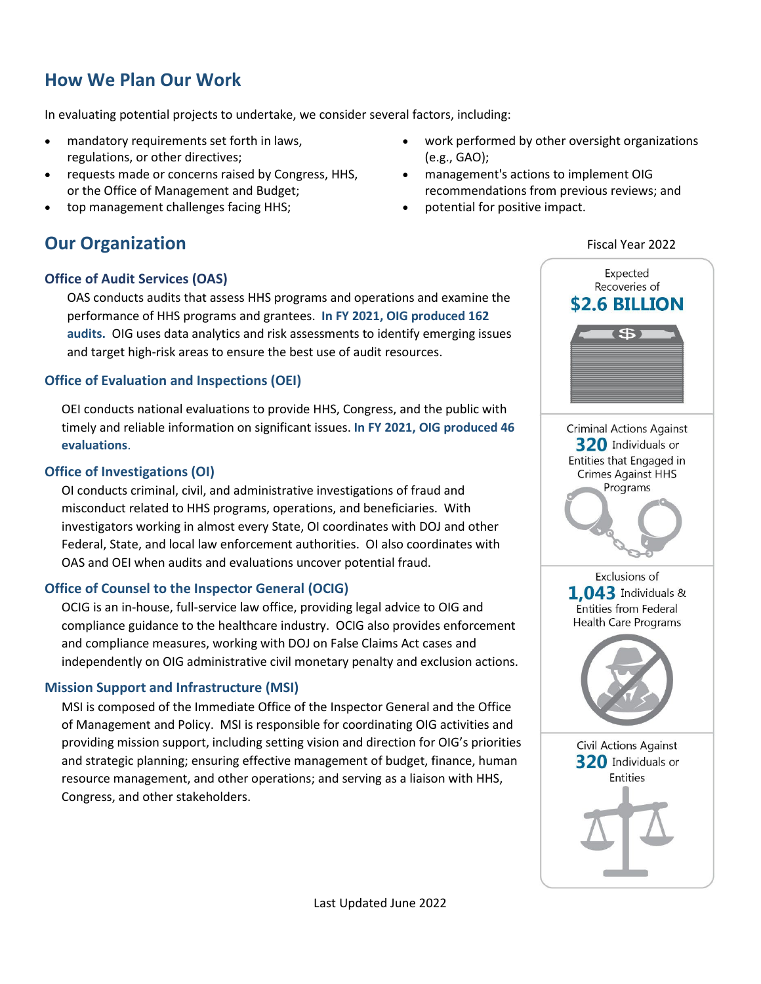## **How We Plan Our Work**

In evaluating potential projects to undertake, we consider several factors, including:

- mandatory requirements set forth in laws, regulations, or other directives;
- requests made or concerns raised by Congress, HHS, or the Office of Management and Budget;
- [top management challenges facing HHS;](https://oig.hhs.gov/reports-and-publications/top-challenges/2019/)

### **Our Organization**

#### **Office of Audit Services (OAS)**

OAS conducts audits that assess HHS programs and operations and examine the performance of HHS programs and grantees. **In FY 2021, OIG produced 162 audits.** OIG uses data analytics and risk assessments to identify emerging issues and target high-risk areas to ensure the best use of audit resources.

#### **Office of Evaluation and Inspections (OEI)**

OEI conducts national evaluations to provide HHS, Congress, and the public with timely and reliable information on significant issues. **In FY 2021, OIG produced 46 evaluations**.

#### **Office of Investigations (OI)**

OI conducts criminal, civil, and administrative investigations of fraud and misconduct related to HHS programs, operations, and beneficiaries. With investigators working in almost every State, OI coordinates with DOJ and other Federal, State, and local law enforcement authorities. OI also coordinates with OAS and OEI when audits and evaluations uncover potential fraud.

#### **Office of Counsel to the Inspector General (OCIG)**

OCIG is an in-house, full-service law office, providing legal advice to OIG and compliance guidance to the healthcare industry. OCIG also provides enforcement and compliance measures, working with DOJ on False Claims Act cases and independently on OIG administrative civil monetary penalty and exclusion actions.

#### **Mission Support and Infrastructure (MSI)**

MSI is composed of the Immediate Office of the Inspector General and the Office of Management and Policy. MSI is responsible for coordinating OIG activities and providing mission support, including setting vision and direction for OIG's priorities and strategic planning; ensuring effective management of budget, finance, human resource management, and other operations; and serving as a liaison with HHS, Congress, and other stakeholders.

- work performed by other oversight organizations (e.g., GAO);
- management's actions to implement OIG recommendations from previous reviews; and
- potential for positive impact.